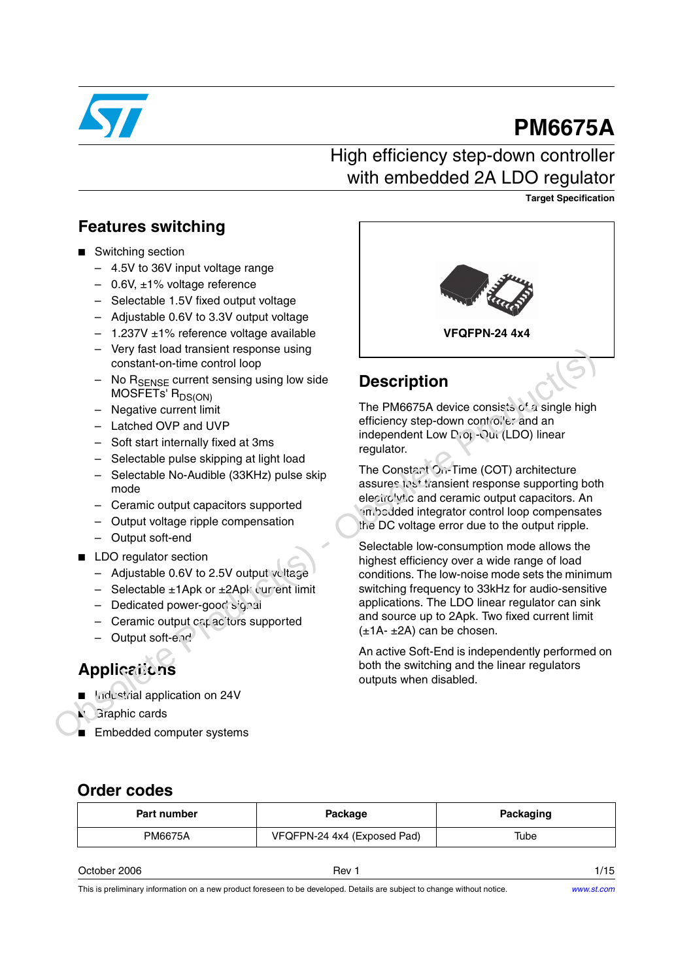

# **PM6675A**

## High efficiency step-down controller with embedded 2A LDO regulator

**Target Specification**

### **Features switching**

- Switching section
	- 4.5V to 36V input voltage range
	- 0.6V, ±1% voltage reference
	- Selectable 1.5V fixed output voltage
	- Adjustable 0.6V to 3.3V output voltage
	- $-$  1.237V  $\pm$ 1% reference voltage available
	- Very fast load transient response using constant-on-time control loop
	- No R<sub>SENSE</sub> current sensing using low side MOSFETs' R<sub>DS(ON)</sub>
	- Negative current limit
	- Latched OVP and UVP
	- Soft start internally fixed at 3ms
	- Selectable pulse skipping at light load
	- Selectable No-Audible (33KHz) pulse skip mode
	- Ceramic output capacitors supported
	- Output voltage ripple compensation
	- Output soft-end
- LDO regulator section
	- Adjustable 0.6V to 2.5V output voltage
	- $-$  Selectable  $\pm 1$ Apk or  $\pm 2$ Apk current limit
	- Dedicated power-good signal
	- $-$  Ceramic output capacitors supported
	- Output soft-end

## **Applications**

- Industrial application on 24V
	- **Graphic cards**
- Embedded computer systems



## **Description**

The PM6675A device consists of a single high efficiency step-down controller and an independent Low Drop-Out (LDO) linear regulator.

The Constant On-Time (COT) architecture assures test transient response supporting both electrolytic and ceramic output capacitors. An embedded integrator control loop compensates the DC voltage error due to the output ripple.

Selectable low-consumption mode allows the highest efficiency over a wide range of load conditions. The low-noise mode sets the minimum switching frequency to 33kHz for audio-sensitive applications. The LDO linear regulator can sink and source up to 2Apk. Two fixed current limit  $(\pm 1A - \pm 2A)$  can be chosen. - Vary last load transient response using<br>
MoGFTEN constant-on-time control loop<br>
- No Regnere current sensing using low side<br>
- Negative current sensing using low side<br>
- Negative current limit<br>
- Latched OVP and UVP<br>

An active Soft-End is independently performed on both the switching and the linear regulators outputs when disabled.

### **Order codes**

| Part number | Package                     | Packaging |  |
|-------------|-----------------------------|-----------|--|
| PM6675A     | VFQFPN-24 4x4 (Exposed Pad) | Tube      |  |

| $\sim$ .<br>2006<br>. )etober.<br>. | Hev | . – |
|-------------------------------------|-----|-----|
|                                     |     |     |

This is preliminary information on a new product foreseen to be developed. Details are subject to change without notice.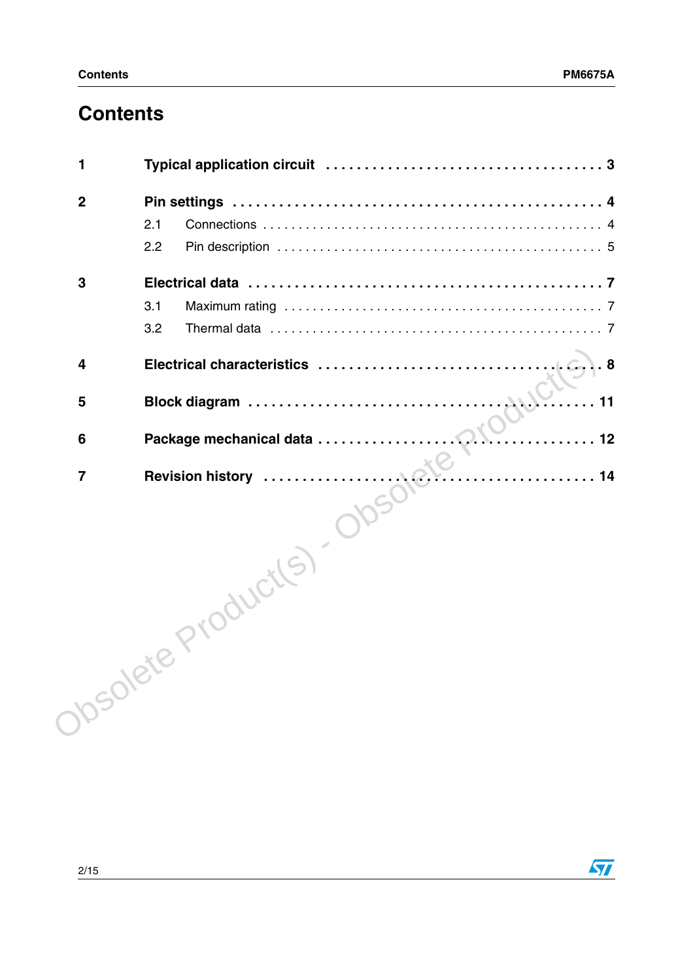## **Contents**

| 1              |                                        |
|----------------|----------------------------------------|
| $\mathbf{2}$   |                                        |
|                | 2.1                                    |
|                | 2.2                                    |
| 3              |                                        |
|                | 3.1                                    |
|                | 3.2                                    |
| 4              | Electrical characteristics<br>$LC.$ .8 |
| 5              | 11                                     |
| 6              | . 12                                   |
| $\overline{7}$ | . 14                                   |
|                | Josolete Product(S)                    |
|                |                                        |
|                |                                        |
|                |                                        |
|                |                                        |
|                |                                        |
|                |                                        |

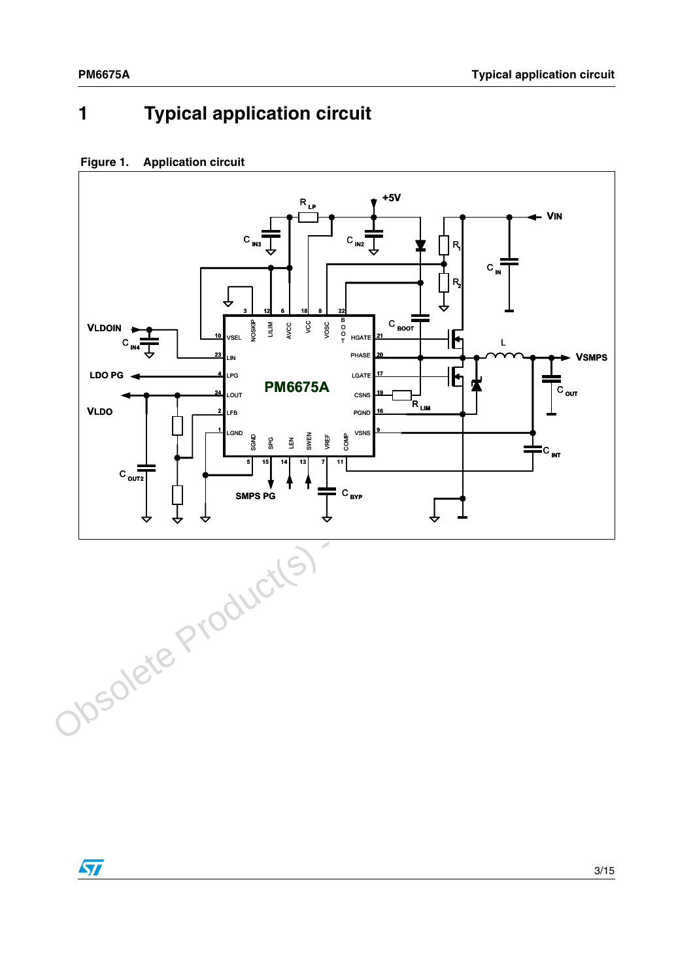## <span id="page-2-0"></span>**1 Typical application circuit**

#### **Figure 1. Application circuit**



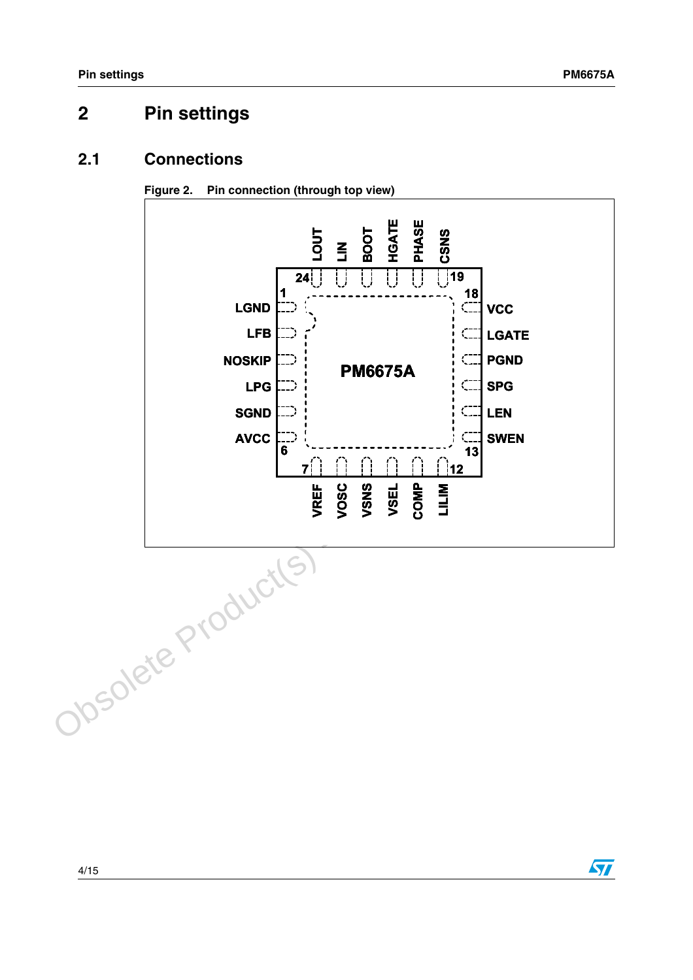## <span id="page-3-0"></span>**2 Pin settings**

### <span id="page-3-1"></span>**2.1 Connections**





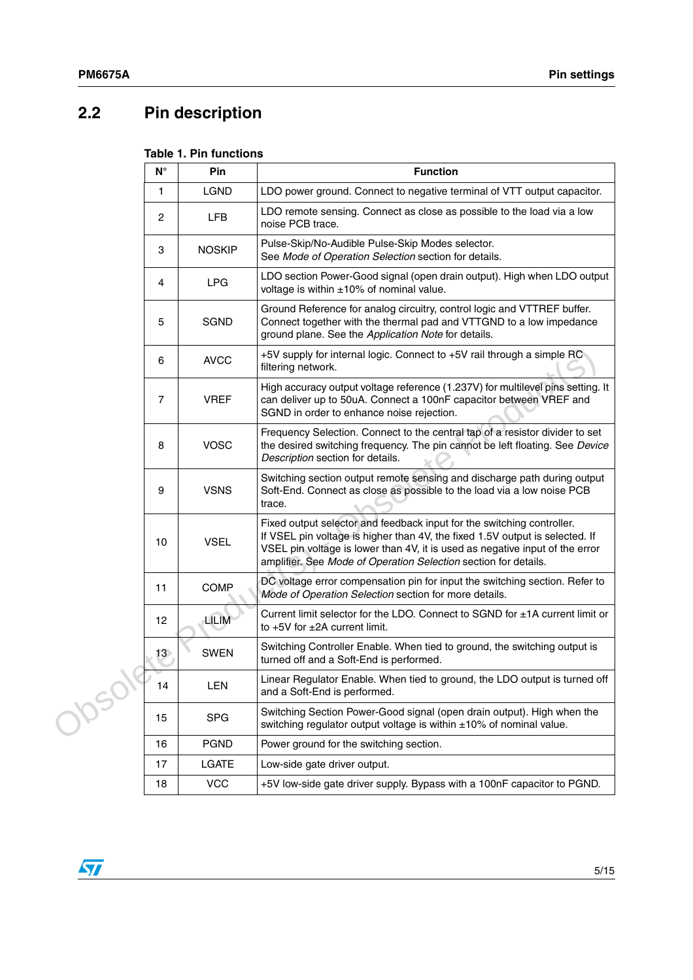## <span id="page-4-0"></span>**2.2 Pin description**

### **Table 1. Pin functions**

|        | $\mathsf{N}^\circ$ | Pin           | <b>Function</b>                                                                                                                                                                                                                                                                                           |
|--------|--------------------|---------------|-----------------------------------------------------------------------------------------------------------------------------------------------------------------------------------------------------------------------------------------------------------------------------------------------------------|
|        | 1                  | <b>LGND</b>   | LDO power ground. Connect to negative terminal of VTT output capacitor.                                                                                                                                                                                                                                   |
|        | 2                  | <b>LFB</b>    | LDO remote sensing. Connect as close as possible to the load via a low<br>noise PCB trace.                                                                                                                                                                                                                |
|        | 3                  | <b>NOSKIP</b> | Pulse-Skip/No-Audible Pulse-Skip Modes selector.<br>See Mode of Operation Selection section for details.                                                                                                                                                                                                  |
|        | 4                  | <b>LPG</b>    | LDO section Power-Good signal (open drain output). High when LDO output<br>voltage is within ±10% of nominal value.                                                                                                                                                                                       |
|        | 5                  | <b>SGND</b>   | Ground Reference for analog circuitry, control logic and VTTREF buffer.<br>Connect together with the thermal pad and VTTGND to a low impedance<br>ground plane. See the Application Note for details.                                                                                                     |
|        | 6                  | <b>AVCC</b>   | +5V supply for internal logic. Connect to +5V rail through a simple RC<br>filtering network.                                                                                                                                                                                                              |
|        | 7                  | <b>VREF</b>   | High accuracy output voltage reference (1.237V) for multilevel pins setting. It<br>can deliver up to 50uA. Connect a 100nF capacitor between VREF and<br>SGND in order to enhance noise rejection.                                                                                                        |
|        | 8                  | <b>VOSC</b>   | Frequency Selection. Connect to the central tap of a resistor divider to set<br>the desired switching frequency. The pin cannot be left floating. See Device<br>Description section for details.                                                                                                          |
|        | 9                  | <b>VSNS</b>   | Switching section output remote sensing and discharge path during output<br>Soft-End. Connect as close as possible to the load via a low noise PCB<br>trace.                                                                                                                                              |
|        | 10                 | <b>VSEL</b>   | Fixed output selector and feedback input for the switching controller.<br>If VSEL pin voltage is higher than 4V, the fixed 1.5V output is selected. If<br>VSEL pin voltage is lower than 4V, it is used as negative input of the error<br>amplifier. See Mode of Operation Selection section for details. |
|        | 11                 | <b>COMP</b>   | DC voltage error compensation pin for input the switching section. Refer to<br>Mode of Operation Selection section for more details.                                                                                                                                                                      |
|        | 12                 | LILIM         | Current limit selector for the LDO. Connect to SGND for ±1A current limit or<br>to $+5V$ for $\pm 2A$ current limit.                                                                                                                                                                                      |
|        | 13                 | <b>SWEN</b>   | Switching Controller Enable. When tied to ground, the switching output is<br>turned off and a Soft-End is performed.                                                                                                                                                                                      |
| Josol' | 14                 | LEN           | Linear Regulator Enable. When tied to ground, the LDO output is turned off<br>and a Soft-End is performed.                                                                                                                                                                                                |
|        | 15                 | <b>SPG</b>    | Switching Section Power-Good signal (open drain output). High when the<br>switching regulator output voltage is within $\pm 10\%$ of nominal value.                                                                                                                                                       |
|        | 16                 | <b>PGND</b>   | Power ground for the switching section.                                                                                                                                                                                                                                                                   |
|        | 17                 | LGATE         | Low-side gate driver output.                                                                                                                                                                                                                                                                              |
|        | 18                 | <b>VCC</b>    | +5V low-side gate driver supply. Bypass with a 100nF capacitor to PGND.                                                                                                                                                                                                                                   |

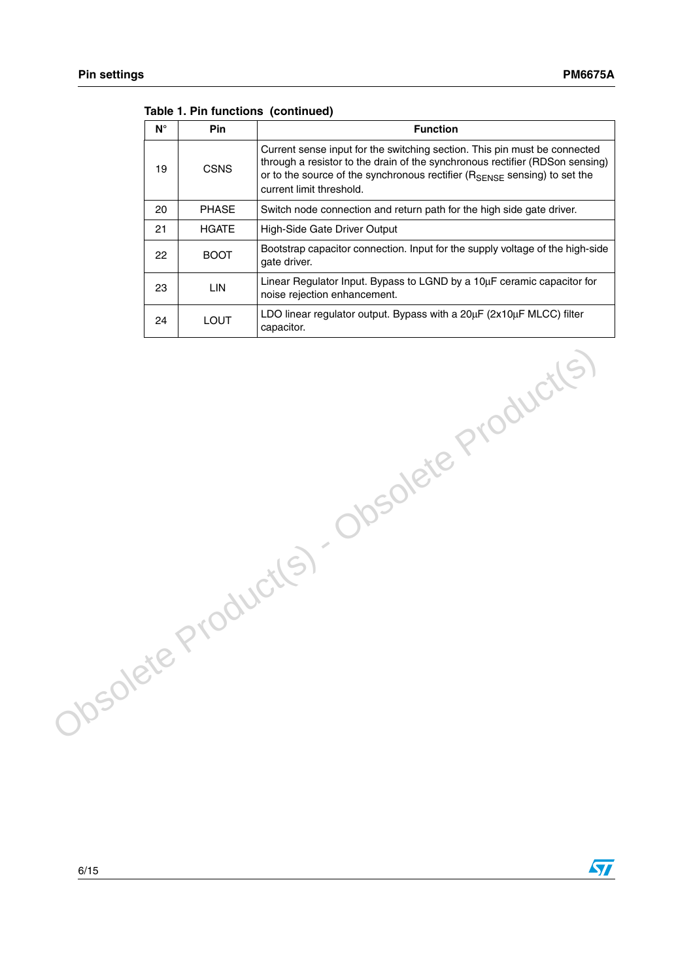| $N^{\circ}$ | <b>Pin</b>   | <b>Function</b>                                                                                                                                                                                                                                                                 |
|-------------|--------------|---------------------------------------------------------------------------------------------------------------------------------------------------------------------------------------------------------------------------------------------------------------------------------|
| 19          | CSNS         | Current sense input for the switching section. This pin must be connected<br>through a resistor to the drain of the synchronous rectifier (RDSon sensing)<br>or to the source of the synchronous rectifier $(R_{\text{SENSE}})$ sensing) to set the<br>current limit threshold. |
| 20          | <b>PHASE</b> | Switch node connection and return path for the high side gate driver.                                                                                                                                                                                                           |
| 21          | <b>HGATE</b> | High-Side Gate Driver Output                                                                                                                                                                                                                                                    |
| 22          | <b>BOOT</b>  | Bootstrap capacitor connection. Input for the supply voltage of the high-side<br>gate driver.                                                                                                                                                                                   |
| 23          | LIN          | Linear Regulator Input. Bypass to LGND by a 10uF ceramic capacitor for<br>noise rejection enhancement.                                                                                                                                                                          |
| 24          | LOUT         | LDO linear regulator output. Bypass with a $20\mu$ F ( $2x10\mu$ F MLCC) filter<br>capacitor.                                                                                                                                                                                   |

Obsolete Product(s) - Obsolete Product(s)

#### **Table 1. Pin functions (continued)**

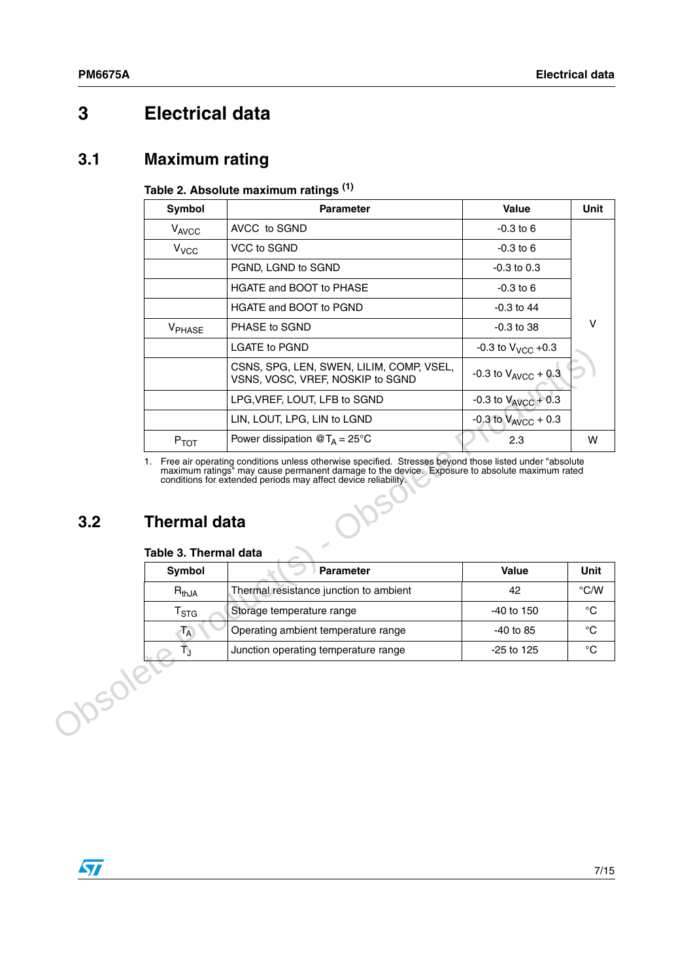## <span id="page-6-0"></span>**3 Electrical data**

### <span id="page-6-1"></span>**3.1 Maximum rating**

#### **Table 2. Absolute maximum ratings (1)**

|                | <b>Symbol</b>                                          | Parameter                                                                                                                                                       | Value                      | Unit          |
|----------------|--------------------------------------------------------|-----------------------------------------------------------------------------------------------------------------------------------------------------------------|----------------------------|---------------|
|                | VAVCC                                                  | AVCC to SGND                                                                                                                                                    | $-0.3$ to 6                |               |
|                | V <sub>VCC</sub>                                       | VCC to SGND                                                                                                                                                     | $-0.3$ to 6                |               |
|                |                                                        | PGND, LGND to SGND                                                                                                                                              | $-0.3$ to $0.3$            |               |
|                |                                                        | HGATE and BOOT to PHASE                                                                                                                                         | $-0.3$ to 6                |               |
|                |                                                        | HGATE and BOOT to PGND                                                                                                                                          | $-0.3$ to 44               |               |
|                | V <sub>PHASE</sub>                                     | PHASE to SGND                                                                                                                                                   | $-0.3$ to 38               | v             |
|                |                                                        | <b>LGATE to PGND</b>                                                                                                                                            | $-0.3$ to $V_{VCC}$ $+0.3$ |               |
|                |                                                        | CSNS, SPG, LEN, SWEN, LILIM, COMP, VSEL,<br>VSNS, VOSC, VREF, NOSKIP to SGND                                                                                    | $-0.3$ to $V_{AVCC}$ + 0.3 |               |
|                |                                                        | LPG, VREF, LOUT, LFB to SGND                                                                                                                                    | -0.3 to $V_{AVCC}$ + 0.3   |               |
|                |                                                        | LIN, LOUT, LPG, LIN to LGND                                                                                                                                     | $-0.3$ to $V_{AVCC}$ + 0.3 |               |
|                | $P_{TOT}$                                              | Power dissipation $@T_A = 25°C$                                                                                                                                 | 2.3                        | W             |
| 3.2            | <b>Thermal data</b><br>Table 3. Thermal data           | maximum ratings" may cause permanent damage to the device. Exposure to absolute maximum rated<br>conditions for extended periods may affect device reliability. |                            |               |
|                | <b>Symbol</b>                                          | <b>Parameter</b>                                                                                                                                                | Value                      | Unit          |
|                | $R_{thJA}$                                             | Thermal resistance junction to ambient                                                                                                                          | 42                         | $\degree$ C/W |
|                | Storage temperature range<br>$\mathsf{T}_{\text{STG}}$ |                                                                                                                                                                 | -40 to 150                 | $^{\circ}C$   |
|                | $T_A$                                                  | Operating ambient temperature range                                                                                                                             | $-40$ to 85                | $^{\circ}$ C  |
|                | Ťĵ<br>Junction operating temperature range             |                                                                                                                                                                 | $-25$ to 125               | $^{\circ}C$   |
| <b>JOSORET</b> |                                                        |                                                                                                                                                                 |                            |               |

### <span id="page-6-2"></span>**3.2 Thermal data**

#### **Table 3. Thermal data**

| Symbol                      | <b>Parameter</b>                       | <b>Value</b> | Unit          |
|-----------------------------|----------------------------------------|--------------|---------------|
| $R_{thJA}$                  | Thermal resistance junction to ambient | 42           | $\degree$ C/W |
| $\mathsf{r}_{\texttt{STG}}$ | Storage temperature range              | $-40$ to 150 | ℃             |
| T <sub>A</sub>              | Operating ambient temperature range    | $-40$ to 85  | ℃             |
|                             | Junction operating temperature range   | $-25$ to 125 | °€            |

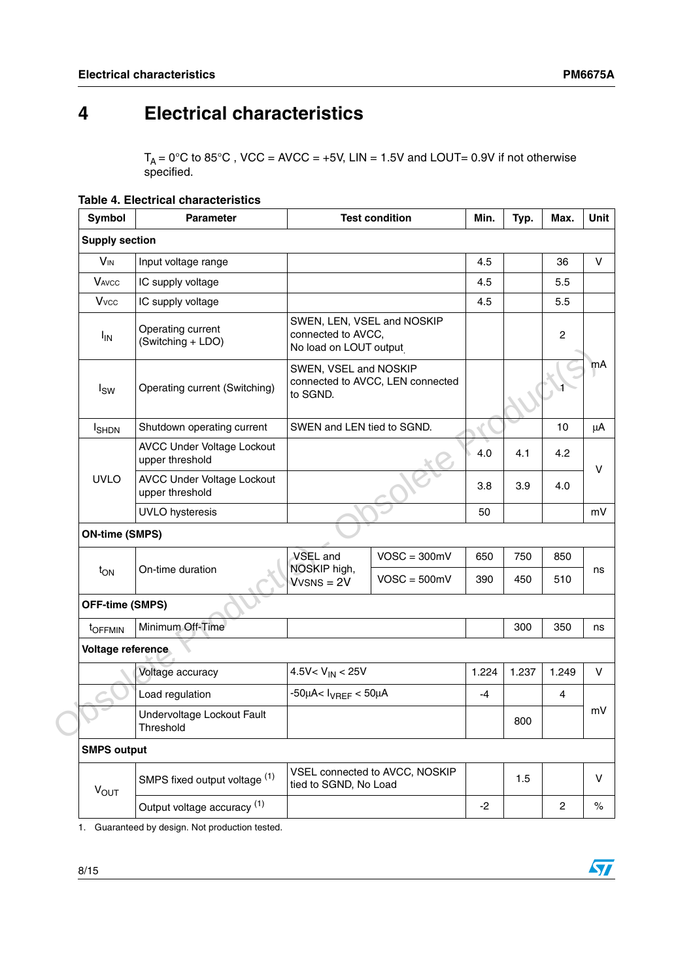## <span id="page-7-0"></span>**4 Electrical characteristics**

 $T_A = 0^\circ \text{C}$  to 85°C, VCC = AVCC = +5V, LIN = 1.5V and LOUT= 0.9V if not otherwise specified.

|  |  | <b>Table 4. Electrical characteristics</b> |
|--|--|--------------------------------------------|
|--|--|--------------------------------------------|

| <b>Symbol</b>            | <b>Test condition</b><br><b>Parameter</b>            |                                                                            | Min.                             | Typ.  | Max.  | Unit           |      |
|--------------------------|------------------------------------------------------|----------------------------------------------------------------------------|----------------------------------|-------|-------|----------------|------|
| <b>Supply section</b>    |                                                      |                                                                            |                                  |       |       |                |      |
| <b>V<sub>IN</sub></b>    | Input voltage range                                  |                                                                            |                                  | 4.5   |       | 36             | V    |
| <b>VAVCC</b>             | IC supply voltage                                    |                                                                            |                                  | 4.5   |       | 5.5            |      |
| <b>V</b> <sub>vcc</sub>  | IC supply voltage                                    |                                                                            |                                  | 4.5   |       | 5.5            |      |
| <b>I<sub>IN</sub></b>    | Operating current<br>(Switching + LDO)               | SWEN, LEN, VSEL and NOSKIP<br>connected to AVCC,<br>No load on LOUT output |                                  |       |       | $\overline{c}$ |      |
| $I_{SW}$                 | Operating current (Switching)                        | SWEN, VSEL and NOSKIP<br>to SGND.                                          | connected to AVCC, LEN connected |       |       |                | mA   |
| <b>I</b> <sub>SHDN</sub> | Shutdown operating current                           | SWEN and LEN tied to SGND.                                                 |                                  |       |       | 10             | μA   |
|                          | <b>AVCC Under Voltage Lockout</b><br>upper threshold |                                                                            |                                  | 4.0   | 4.1   | 4.2            | v    |
| <b>UVLO</b>              | <b>AVCC Under Voltage Lockout</b><br>upper threshold |                                                                            |                                  | 3.8   | 3.9   | 4.0            |      |
|                          | <b>UVLO</b> hysteresis                               |                                                                            |                                  | 50    |       |                | mV   |
| <b>ON-time (SMPS)</b>    |                                                      |                                                                            |                                  |       |       |                |      |
|                          |                                                      | VSEL and                                                                   | $VOSC = 300mV$                   | 650   | 750   | 850            |      |
| $t_{ON}$                 | On-time duration                                     | NOSKIP high,<br>$Vvens = 2V$                                               | $VOSC = 500mV$                   | 390   | 450   | 510            | ns   |
| <b>OFF-time (SMPS)</b>   |                                                      |                                                                            |                                  |       |       |                |      |
| t <sub>OFFMIN</sub>      | Minimum Off-Time                                     |                                                                            |                                  |       | 300   | 350            | ns   |
| Voltage reference        |                                                      |                                                                            |                                  |       |       |                |      |
|                          | Voltage accuracy                                     | $4.5V < V_{IN} < 25V$                                                      |                                  | 1.224 | 1.237 | 1.249          | V    |
|                          | Load regulation                                      | $-50 \mu$ A< $I_{VREF}$ < 50 $\mu$ A                                       |                                  | $-4$  |       | $\overline{4}$ |      |
|                          | Undervoltage Lockout Fault<br>Threshold              |                                                                            |                                  |       | 800   |                | mV   |
| <b>SMPS output</b>       |                                                      |                                                                            |                                  |       |       |                |      |
| $V_{OUT}$                | SMPS fixed output voltage (1)                        | tied to SGND, No Load                                                      | VSEL connected to AVCC, NOSKIP   |       | 1.5   |                | V    |
|                          | Output voltage accuracy (1)                          |                                                                            |                                  | $-2$  |       | $\overline{c}$ | $\%$ |
|                          |                                                      |                                                                            |                                  |       |       |                |      |

1. Guaranteed by design. Not production tested.

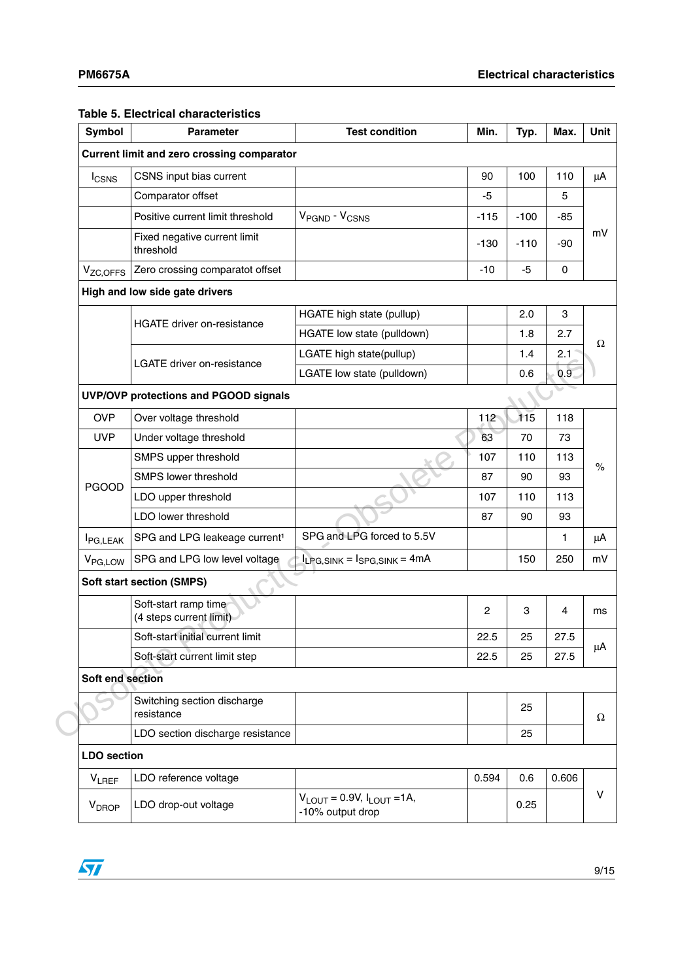#### **Table 5. Electrical characteristics**

| Symbol                | <b>Parameter</b>                                  | <b>Test condition</b>                                               | Min.                          | Typ.   | Max.  | Unit |
|-----------------------|---------------------------------------------------|---------------------------------------------------------------------|-------------------------------|--------|-------|------|
|                       | <b>Current limit and zero crossing comparator</b> |                                                                     |                               |        |       |      |
| <b>I</b> CSNS         | CSNS input bias current                           |                                                                     | 90                            | 100    | 110   | μA   |
|                       | Comparator offset                                 |                                                                     | -5                            |        | 5     |      |
|                       | Positive current limit threshold                  | V <sub>PGND</sub> - V <sub>CSNS</sub>                               | $-115$                        | $-100$ | $-85$ |      |
|                       | Fixed negative current limit<br>threshold         |                                                                     | mV<br>$-90$<br>-130<br>$-110$ |        |       |      |
| V <sub>ZC, OFFS</sub> | Zero crossing comparatot offset                   |                                                                     | $-10$                         | -5     | 0     |      |
|                       | High and low side gate drivers                    |                                                                     |                               |        |       |      |
|                       |                                                   | HGATE high state (pullup)                                           |                               | 2.0    | 3     |      |
|                       | <b>HGATE driver on-resistance</b>                 | HGATE low state (pulldown)                                          |                               | 1.8    | 2.7   |      |
|                       | <b>LGATE driver on-resistance</b>                 | LGATE high state(pullup)                                            |                               | 1.4    | 2.1   | Ω    |
|                       |                                                   | LGATE low state (pulldown)                                          |                               | 0.6    | 0.9   |      |
|                       | UVP/OVP protections and PGOOD signals             |                                                                     |                               |        |       |      |
| <b>OVP</b>            | Over voltage threshold                            |                                                                     | 112                           | 115    | 118   |      |
| <b>UVP</b>            | Under voltage threshold                           |                                                                     | 63                            | 70     | 73    |      |
|                       | SMPS upper threshold                              |                                                                     | 107                           | 110    | 113   | $\%$ |
| <b>PGOOD</b>          | SMPS lower threshold                              |                                                                     | 87                            | 90     | 93    |      |
|                       | LDO upper threshold                               |                                                                     | 107                           | 110    | 113   |      |
|                       | LDO lower threshold                               |                                                                     | 87                            | 90     | 93    |      |
| <b>I</b> PG,LEAK      | SPG and LPG leakeage current <sup>1</sup>         | SPG and LPG forced to 5.5V                                          |                               |        | 1     | μA   |
| V <sub>PG, LOW</sub>  | SPG and LPG low level voltage                     | $I_{LPG, SINK} = I_{SPG, SINK} = 4mA$                               |                               | 150    | 250   | mV   |
|                       | <b>Soft start section (SMPS)</b>                  |                                                                     |                               |        |       |      |
|                       | Soft-start ramp time<br>(4 steps current limit)   |                                                                     | 2                             | 3      | 4     | ms   |
|                       | Soft-start initial current limit                  |                                                                     | 22.5                          | 25     | 27.5  |      |
|                       | Soft-start current limit step                     |                                                                     | 22.5                          | 25     | 27.5  | μA   |
| Soft end section      |                                                   |                                                                     |                               |        |       |      |
|                       | Switching section discharge<br>resistance         |                                                                     |                               | 25     |       | Ω    |
|                       | LDO section discharge resistance                  |                                                                     |                               | 25     |       |      |
| <b>LDO</b> section    |                                                   |                                                                     |                               |        |       |      |
| <b>VLREF</b>          | LDO reference voltage                             |                                                                     | 0.594                         | 0.6    | 0.606 |      |
| V <sub>DROP</sub>     | LDO drop-out voltage                              | $V_{\text{LOUT}} = 0.9V, I_{\text{LOUT}} = 1A,$<br>-10% output drop |                               | 0.25   |       | v    |

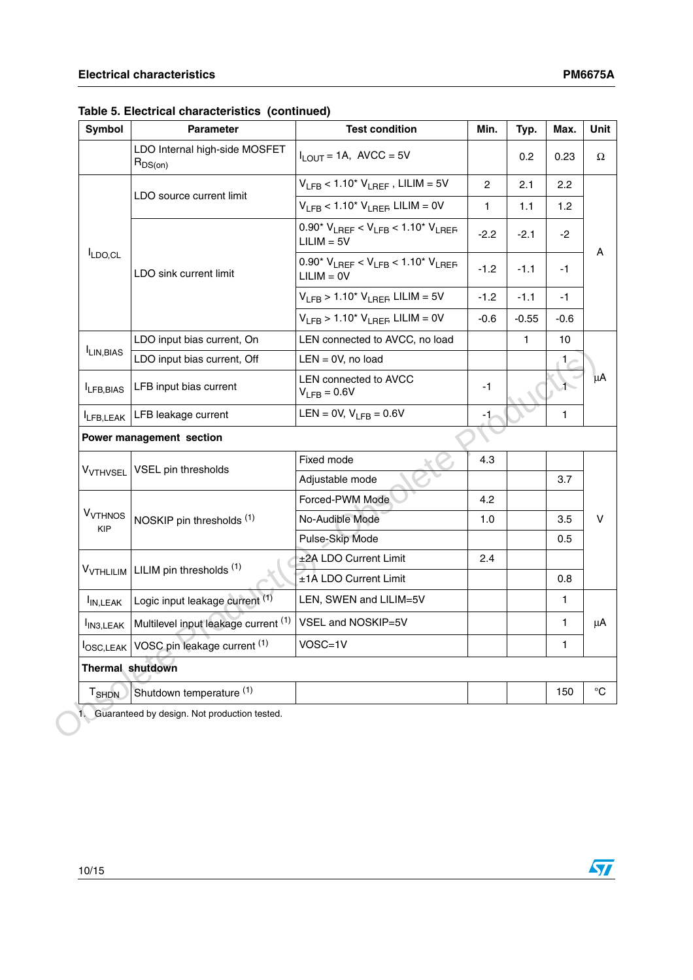$\sqrt{2}$ 

| Symbol                                  | <b>Parameter</b>                              | <b>Test condition</b>                                           | Min.           | Typ.   | Max.         |  |
|-----------------------------------------|-----------------------------------------------|-----------------------------------------------------------------|----------------|--------|--------------|--|
|                                         | LDO Internal high-side MOSFET<br>$R_{DS(on)}$ | $I_{\text{I}}$ $_{\text{OUT}}$ = 1A, AVCC = 5V                  |                | 0.2    | 0.23         |  |
|                                         |                                               | $V_{LFB}$ < 1.10* $V_{LREF}$ , LILIM = 5V                       | $\overline{2}$ | 2.1    | 2.2          |  |
|                                         | LDO source current limit                      | $V_{LFB}$ < 1.10* $V_{LREF}$ LILIM = 0V                         | $\mathbf{1}$   | 1.1    | 1.2          |  |
|                                         |                                               | $0.90*V_{LREF} < V_{LFB} < 1.10*V_{LREF}$<br>$LILIM = 5V$       | $-2.2$         | $-2.1$ | $-2$         |  |
| $I_{LDO,CL}$                            | LDO sink current limit                        | 0.90* $V_{LREF}$ < $V_{LFB}$ < 1.10* $V_{LREF}$<br>$LILIM = OV$ | $-1.2$         | $-1.1$ | $-1$         |  |
|                                         |                                               | $V_{LFB}$ > 1.10 <sup>*</sup> $V_{LREF}$ LILIM = 5V             | $-1.2$         | $-1.1$ | -1           |  |
|                                         |                                               | $V_{LFB}$ > 1.10 <sup>*</sup> $V_{LREF}$ LILIM = 0V             | $-0.6$         | -0.55  | $-0.6$       |  |
|                                         | LDO input bias current, On                    | LEN connected to AVCC, no load                                  |                | 1      | 10           |  |
| LIN, BIAS                               | LDO input bias current, Off                   | $LEN = 0V$ , no load                                            |                |        | 1.           |  |
| ILFB, BIAS                              | LFB input bias current                        | LEN connected to AVCC<br>$V_{LFB} = 0.6V$                       | $-1$           |        |              |  |
| LFB, LEAK                               | LFB leakage current                           | LEN = 0V, $V_{1FB}$ = 0.6V                                      | -1             |        | $\mathbf{1}$ |  |
|                                         | Power management section                      |                                                                 |                |        |              |  |
|                                         |                                               | Fixed mode                                                      | 4.3            |        |              |  |
| <b>V<sub>VTHVSEL</sub></b>              | VSEL pin thresholds                           | Adjustable mode                                                 |                |        | 3.7          |  |
|                                         | NOSKIP pin thresholds (1)                     | Forced-PWM Mode                                                 | 4.2            |        |              |  |
| <b>V<sub>VTHNOS</sub></b><br><b>KIP</b> |                                               | No-Audible Mode                                                 | 1.0            |        | 3.5          |  |
|                                         |                                               | Pulse-Skip Mode                                                 |                |        | 0.5          |  |
| V <sub>VTHLILIM</sub>                   | LILIM pin thresholds (1)                      | ±2A LDO Current Limit                                           | 2.4            |        |              |  |
|                                         |                                               | ±1A LDO Current Limit                                           |                |        | 0.8          |  |
| I <sub>IN, LEAK</sub>                   | Logic input leakage current (1)               | LEN, SWEN and LILIM=5V                                          |                |        | $\mathbf{1}$ |  |
| I <sub>IN3, LEAK</sub>                  | Multilevel input leakage current (1)          | VSEL and NOSKIP=5V                                              |                |        | $\mathbf{1}$ |  |
|                                         | losc, LEAK   VOSC pin leakage current (1)     | VOSC=1V                                                         |                |        | 1.           |  |
|                                         | <b>Thermal shutdown</b>                       |                                                                 |                |        |              |  |
|                                         |                                               |                                                                 |                |        |              |  |

**Table 5. Electrical characteristics (continued)**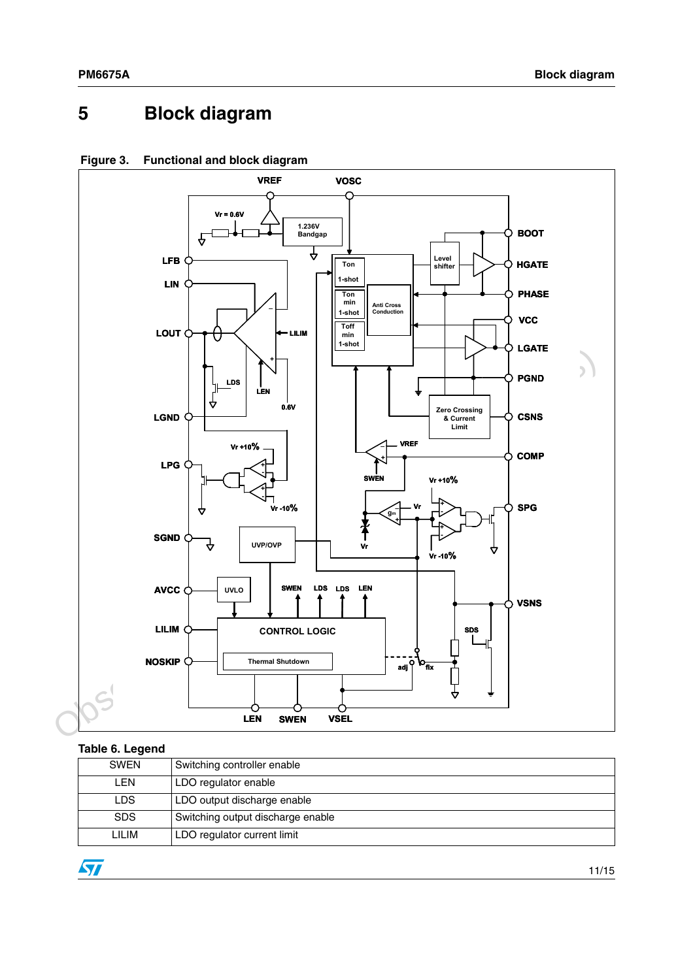## <span id="page-10-0"></span>**5 Block diagram**



### **Figure 3. Functional and block diagram**

#### **Table 6. Legend**

| ----- <i>-</i> -- ------ |                                   |
|--------------------------|-----------------------------------|
| <b>SWEN</b>              | Switching controller enable       |
| <b>LEN</b>               | LDO regulator enable              |
| <b>LDS</b>               | LDO output discharge enable       |
| <b>SDS</b>               | Switching output discharge enable |
| LILIM                    | LDO regulator current limit       |

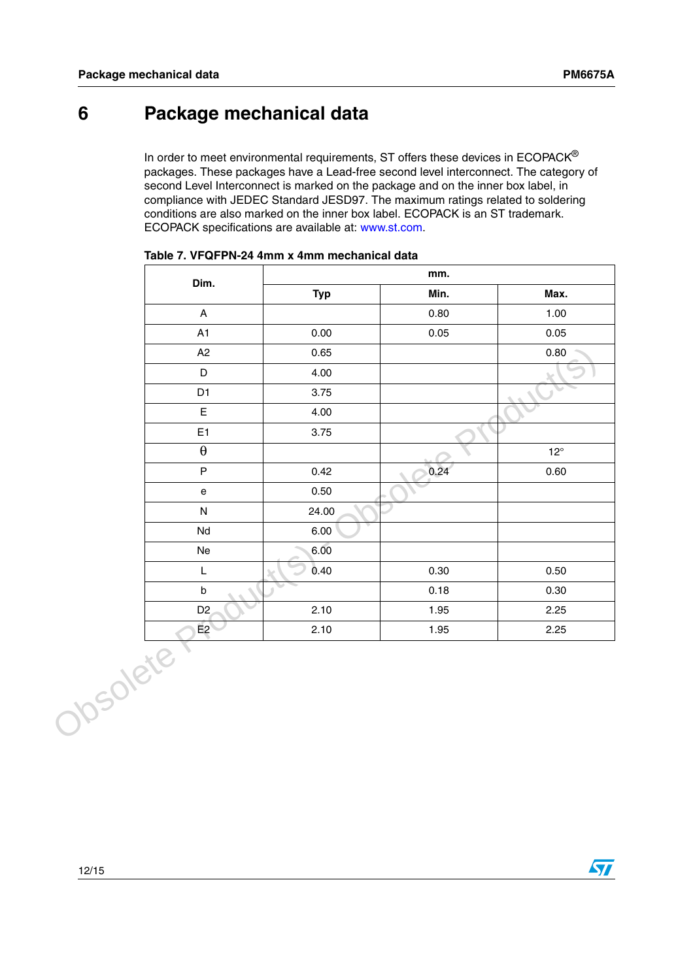## <span id="page-11-0"></span>**6 Package mechanical data**

In order to meet environmental requirements, ST offers these devices in  $ECOPACK^{\circledast}$ packages. These packages have a Lead-free second level interconnect. The category of second Level Interconnect is marked on the package and on the inner box label, in compliance with JEDEC Standard JESD97. The maximum ratings related to soldering conditions are also marked on the inner box label. ECOPACK is an ST trademark. ECOPACK specifications are available at: www.st.com.

| Dim.                                                                                                        |            | mm.  |              |  |
|-------------------------------------------------------------------------------------------------------------|------------|------|--------------|--|
|                                                                                                             | <b>Typ</b> | Min. | Max.         |  |
| $\boldsymbol{\mathsf{A}}$                                                                                   |            | 0.80 | 1.00         |  |
| A1                                                                                                          | 0.00       | 0.05 | 0.05         |  |
| A2                                                                                                          | 0.65       |      | 0.80         |  |
| $\mathsf D$                                                                                                 | 4.00       |      |              |  |
| D <sub>1</sub>                                                                                              | 3.75       |      |              |  |
| $\mathsf E$                                                                                                 | 4.00       |      |              |  |
| E <sub>1</sub>                                                                                              | 3.75       |      |              |  |
| $\boldsymbol{\theta}$                                                                                       |            |      | $12^{\circ}$ |  |
| $\sf P$                                                                                                     | 0.42       | 0.24 | 0.60         |  |
| $\mathsf{e}% _{t}\left( t\right)$                                                                           | 0.50       |      |              |  |
| ${\sf N}$                                                                                                   | 24.00      |      |              |  |
| Nd                                                                                                          | 6.00       |      |              |  |
| Ne                                                                                                          | 6.00       |      |              |  |
| $\mathsf{L}% _{0}\left( \mathsf{L}_{0}\right) ^{\ast }=\mathsf{L}_{0}\left( \mathsf{L}_{0}\right) ^{\ast }$ | 0.40       | 0.30 | 0.50         |  |
| $\sf b$                                                                                                     |            | 0.18 | 0.30         |  |
| D <sub>2</sub>                                                                                              | 2.10       | 1.95 | 2.25         |  |
| E2                                                                                                          | 2.10       | 1.95 | 2.25         |  |
|                                                                                                             |            |      |              |  |
|                                                                                                             |            |      |              |  |
|                                                                                                             |            |      |              |  |
| Josolete                                                                                                    |            |      |              |  |

| Table 7. VFQFPN-24 4mm x 4mm mechanical data |  |  |  |
|----------------------------------------------|--|--|--|
|----------------------------------------------|--|--|--|

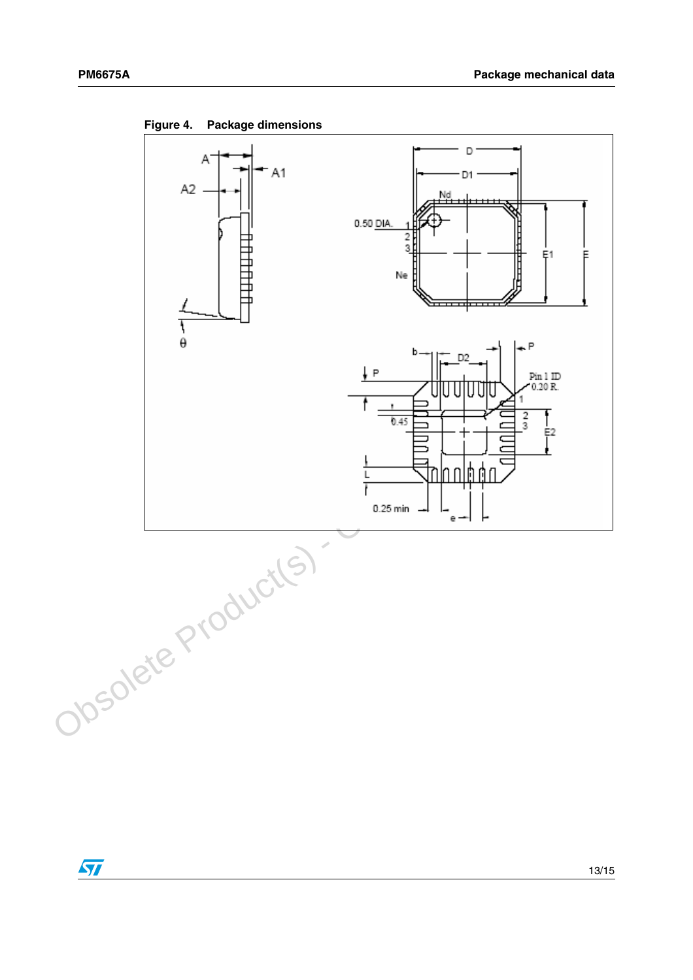

**Figure 4. Package dimensions**

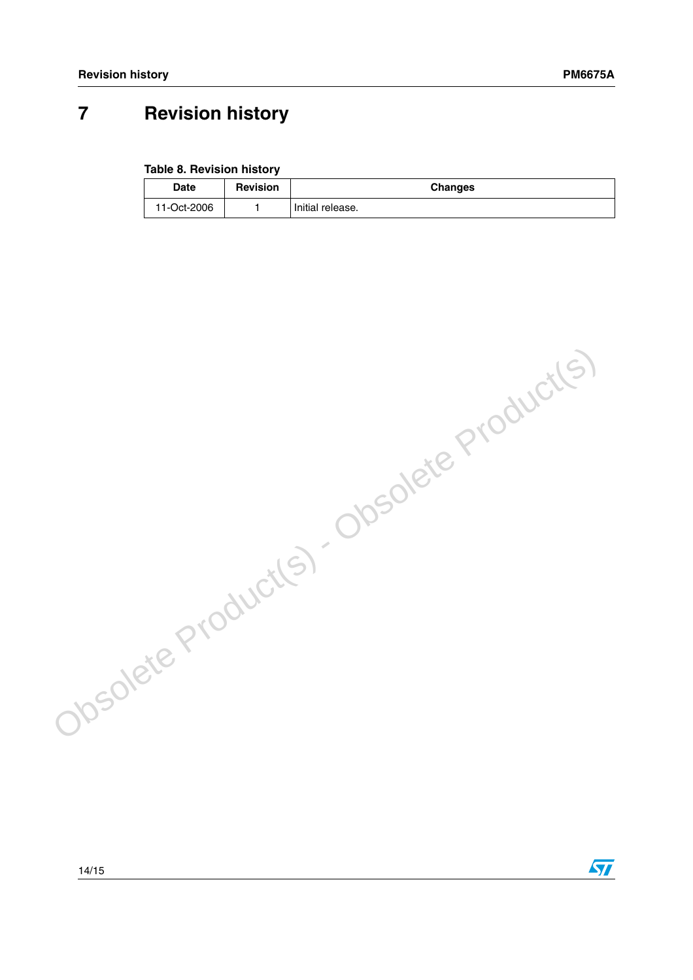$\sqrt{2}$ 

## <span id="page-13-0"></span>**7 Revision history**

#### **Table 8. Revision history**

| <b>Date</b> | <b>Revision</b> | Changes          |
|-------------|-----------------|------------------|
| 11-Oct-2006 |                 | Initial release. |

Obsolete Product(s) - Obsolete Product(s)